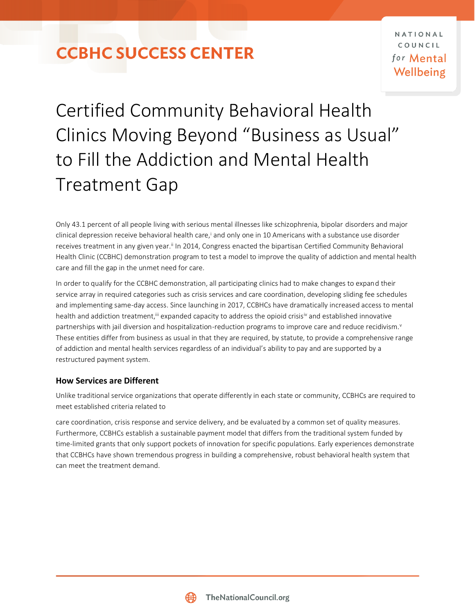### **CCBHC SUCCESS CENTER**

# Certified Community Behavioral Health Clinics Moving Beyond "Business as Usual" to Fill the Addiction and Mental Health Treatment Gap

Only 43.1 percent of all people living with serious mental illnesses like schizophrenia, bipolar disorders and major clinical depression receive behavioral health care,<sup>i</sup> and only one in 10 Americans with a substance use disorder receives treatment in any given year.<sup>ii</sup> In 2014, Congress enacted the bipartisan Certified Community Behavioral Health Clinic (CCBHC) demonstration program to test a model to improve the quality of addiction and mental health care and fill the gap in the unmet need for care.

In order to qualify for the CCBHC demonstration, all participating clinics had to make changes to expand their service array in required categories such as crisis services and care coordination, developing sliding fee schedules and implementing same-day access. Since launching in 2017, CCBHCs have dramatically increased access to mental health and addiction treatment,<sup>iii</sup> expanded capacity to address the opioid crisisiv and established innovative partnerships with jail diversion and hospitalization-reduction programs to improve care and reduce recidivism.<sup>v</sup> These entities differ from business as usual in that they are required, by statute, to provide a comprehensive range of addiction and mental health services regardless of an individual's ability to pay and are supported by a restructured payment system.

#### **How Services are Different**

Unlike traditional service organizations that operate differently in each state or community, CCBHCs are required to meet established criteria related to

care coordination, crisis response and service delivery, and be evaluated by a common set of quality measures. Furthermore, CCBHCs establish a sustainable payment model that differs from the traditional system funded by time-limited grants that only support pockets of innovation for specific populations. Early experiences demonstrate that CCBHCs have shown tremendous progress in building a comprehensive, robust behavioral health system that can meet the treatment demand.

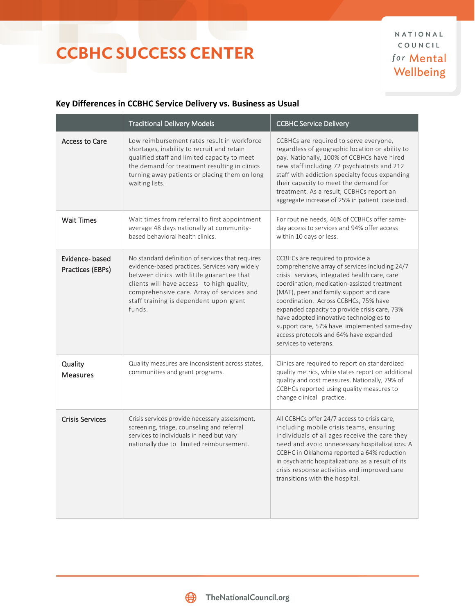## **CCBHC SUCCESS CENTER**

#### **Key Differences in CCBHC Service Delivery vs. Business as Usual**

|                                    | <b>Traditional Delivery Models</b>                                                                                                                                                                                                                                                             | <b>CCBHC Service Delivery</b>                                                                                                                                                                                                                                                                                                                                                                                                                                                        |
|------------------------------------|------------------------------------------------------------------------------------------------------------------------------------------------------------------------------------------------------------------------------------------------------------------------------------------------|--------------------------------------------------------------------------------------------------------------------------------------------------------------------------------------------------------------------------------------------------------------------------------------------------------------------------------------------------------------------------------------------------------------------------------------------------------------------------------------|
| <b>Access to Care</b>              | Low reimbursement rates result in workforce<br>shortages, inability to recruit and retain<br>qualified staff and limited capacity to meet<br>the demand for treatment resulting in clinics<br>turning away patients or placing them on long<br>waiting lists.                                  | CCBHCs are required to serve everyone,<br>regardless of geographic location or ability to<br>pay. Nationally, 100% of CCBHCs have hired<br>new staff including 72 psychiatrists and 212<br>staff with addiction specialty focus expanding<br>their capacity to meet the demand for<br>treatment. As a result, CCBHCs report an<br>aggregate increase of 25% in patient caseload.                                                                                                     |
| <b>Wait Times</b>                  | Wait times from referral to first appointment<br>average 48 days nationally at community-<br>based behavioral health clinics.                                                                                                                                                                  | For routine needs, 46% of CCBHCs offer same-<br>day access to services and 94% offer access<br>within 10 days or less.                                                                                                                                                                                                                                                                                                                                                               |
| Evidence-based<br>Practices (EBPs) | No standard definition of services that requires<br>evidence-based practices. Services vary widely<br>between clinics with little guarantee that<br>clients will have access to high quality,<br>comprehensive care. Array of services and<br>staff training is dependent upon grant<br>funds. | CCBHCs are required to provide a<br>comprehensive array of services including 24/7<br>crisis services, integrated health care, care<br>coordination, medication-assisted treatment<br>(MAT), peer and family support and care<br>coordination. Across CCBHCs, 75% have<br>expanded capacity to provide crisis care, 73%<br>have adopted innovative technologies to<br>support care, 57% have implemented same-day<br>access protocols and 64% have expanded<br>services to veterans. |
| Quality<br><b>Measures</b>         | Quality measures are inconsistent across states,<br>communities and grant programs.                                                                                                                                                                                                            | Clinics are required to report on standardized<br>quality metrics, while states report on additional<br>quality and cost measures. Nationally, 79% of<br>CCBHCs reported using quality measures to<br>change clinical practice.                                                                                                                                                                                                                                                      |
| <b>Crisis Services</b>             | Crisis services provide necessary assessment,<br>screening, triage, counseling and referral<br>services to individuals in need but vary<br>nationally due to limited reimbursement.                                                                                                            | All CCBHCs offer 24/7 access to crisis care,<br>including mobile crisis teams, ensuring<br>individuals of all ages receive the care they<br>need and avoid unnecessary hospitalizations. A<br>CCBHC in Oklahoma reported a 64% reduction<br>in psychiatric hospitalizations as a result of its<br>crisis response activities and improved care<br>transitions with the hospital.                                                                                                     |